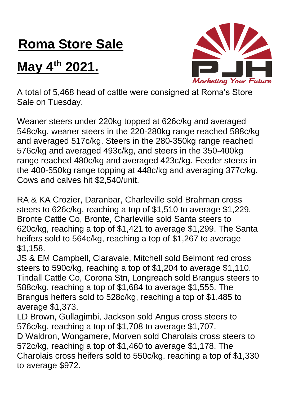## **Roma Store Sale**

## **May 4th 2021.**



A total of 5,468 head of cattle were consigned at Roma's Store Sale on Tuesday.

Weaner steers under 220kg topped at 626c/kg and averaged 548c/kg, weaner steers in the 220-280kg range reached 588c/kg and averaged 517c/kg. Steers in the 280-350kg range reached 576c/kg and averaged 493c/kg, and steers in the 350-400kg range reached 480c/kg and averaged 423c/kg. Feeder steers in the 400-550kg range topping at 448c/kg and averaging 377c/kg. Cows and calves hit \$2,540/unit.

RA & KA Crozier, Daranbar, Charleville sold Brahman cross steers to 626c/kg, reaching a top of \$1,510 to average \$1,229. Bronte Cattle Co, Bronte, Charleville sold Santa steers to 620c/kg, reaching a top of \$1,421 to average \$1,299. The Santa heifers sold to 564c/kg, reaching a top of \$1,267 to average \$1,158.

JS & EM Campbell, Claravale, Mitchell sold Belmont red cross steers to 590c/kg, reaching a top of \$1,204 to average \$1,110. Tindall Cattle Co, Corona Stn, Longreach sold Brangus steers to 588c/kg, reaching a top of \$1,684 to average \$1,555. The Brangus heifers sold to 528c/kg, reaching a top of \$1,485 to average \$1,373.

LD Brown, Gullagimbi, Jackson sold Angus cross steers to 576c/kg, reaching a top of \$1,708 to average \$1,707. D Waldron, Wongamere, Morven sold Charolais cross steers to 572c/kg, reaching a top of \$1,460 to average \$1,178. The Charolais cross heifers sold to 550c/kg, reaching a top of \$1,330 to average \$972.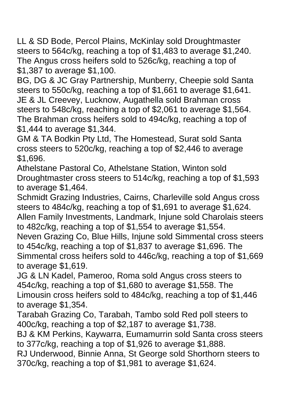LL & SD Bode, Percol Plains, McKinlay sold Droughtmaster steers to 564c/kg, reaching a top of \$1,483 to average \$1,240. The Angus cross heifers sold to 526c/kg, reaching a top of \$1,387 to average \$1,100.

BG, DG & JC Gray Partnership, Munberry, Cheepie sold Santa steers to 550c/kg, reaching a top of \$1,661 to average \$1,641. JE & JL Creevey, Lucknow, Augathella sold Brahman cross steers to 548c/kg, reaching a top of \$2,061 to average \$1,564. The Brahman cross heifers sold to 494c/kg, reaching a top of \$1,444 to average \$1,344.

GM & TA Bodkin Pty Ltd, The Homestead, Surat sold Santa cross steers to 520c/kg, reaching a top of \$2,446 to average \$1,696.

Athelstane Pastoral Co, Athelstane Station, Winton sold Droughtmaster cross steers to 514c/kg, reaching a top of \$1,593 to average \$1,464.

Schmidt Grazing Industries, Cairns, Charleville sold Angus cross steers to 484c/kg, reaching a top of \$1,691 to average \$1,624. Allen Family Investments, Landmark, Injune sold Charolais steers to 482c/kg, reaching a top of \$1,554 to average \$1,554.

Neven Grazing Co, Blue Hills, Injune sold Simmental cross steers to 454c/kg, reaching a top of \$1,837 to average \$1,696. The Simmental cross heifers sold to 446c/kg, reaching a top of \$1,669 to average \$1,619.

JG & LN Kadel, Pameroo, Roma sold Angus cross steers to 454c/kg, reaching a top of \$1,680 to average \$1,558. The Limousin cross heifers sold to 484c/kg, reaching a top of \$1,446 to average \$1,354.

Tarabah Grazing Co, Tarabah, Tambo sold Red poll steers to 400c/kg, reaching a top of \$2,187 to average \$1,738.

BJ & KM Perkins, Kaywarra, Eumamurrin sold Santa cross steers to 377c/kg, reaching a top of \$1,926 to average \$1,888.

RJ Underwood, Binnie Anna, St George sold Shorthorn steers to 370c/kg, reaching a top of \$1,981 to average \$1,624.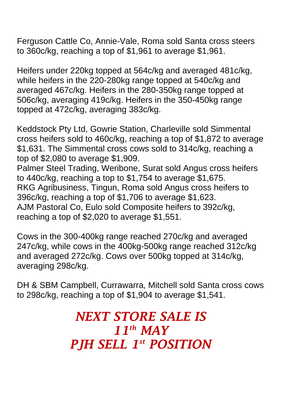Ferguson Cattle Co, Annie-Vale, Roma sold Santa cross steers to 360c/kg, reaching a top of \$1,961 to average \$1,961.

Heifers under 220kg topped at 564c/kg and averaged 481c/kg, while heifers in the 220-280kg range topped at 540c/kg and averaged 467c/kg. Heifers in the 280-350kg range topped at 506c/kg, averaging 419c/kg. Heifers in the 350-450kg range topped at 472c/kg, averaging 383c/kg.

Keddstock Pty Ltd, Gowrie Station, Charleville sold Simmental cross heifers sold to 460c/kg, reaching a top of \$1,872 to average \$1,631. The Simmental cross cows sold to 314c/kg, reaching a top of \$2,080 to average \$1,909.

Palmer Steel Trading, Weribone, Surat sold Angus cross heifers to 440c/kg, reaching a top to \$1,754 to average \$1,675. RKG Agribusiness, Tingun, Roma sold Angus cross heifers to 396c/kg, reaching a top of \$1,706 to average \$1,623. AJM Pastoral Co, Eulo sold Composite heifers to 392c/kg, reaching a top of \$2,020 to average \$1,551.

Cows in the 300-400kg range reached 270c/kg and averaged 247c/kg, while cows in the 400kg-500kg range reached 312c/kg and averaged 272c/kg. Cows over 500kg topped at 314c/kg, averaging 298c/kg.

DH & SBM Campbell, Currawarra, Mitchell sold Santa cross cows to 298c/kg, reaching a top of \$1,904 to average \$1,541.

## *NEXT STORE SALE IS 11th MAY PJH SELL 1 st POSITION*